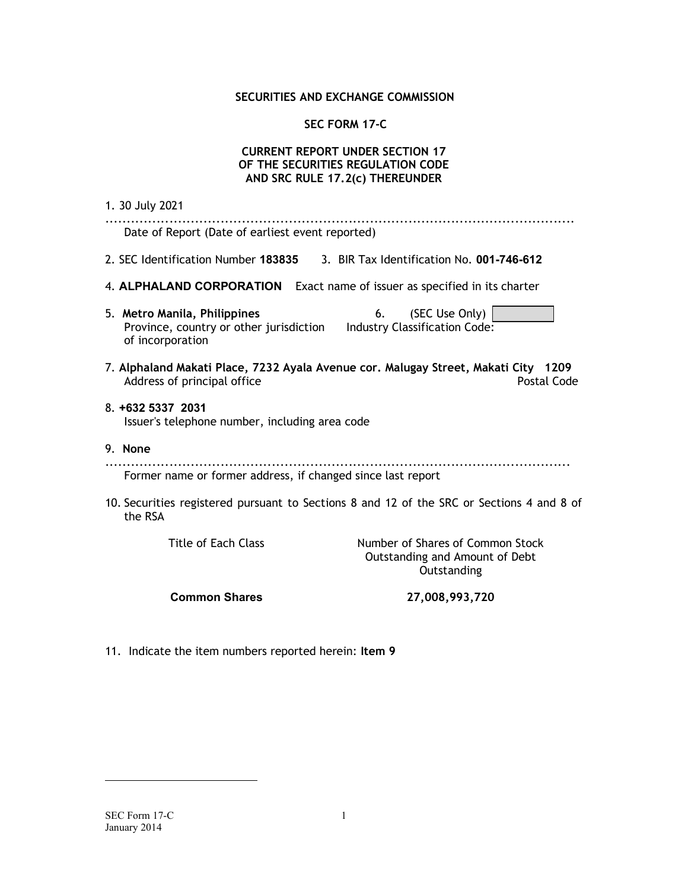### SECURITIES AND EXCHANGE COMMISSION

# SEC FORM 17-C

## CURRENT REPORT UNDER SECTION 17 OF THE SECURITIES REGULATION CODE AND SRC RULE 17.2(c) THEREUNDER

| 1. 30 July 2021                                                                                                                                   |
|---------------------------------------------------------------------------------------------------------------------------------------------------|
| Date of Report (Date of earliest event reported)                                                                                                  |
| 2. SEC Identification Number 183835 3. BIR Tax Identification No. 001-746-612                                                                     |
| 4. ALPHALAND CORPORATION Exact name of issuer as specified in its charter                                                                         |
| (SEC Use Only)<br>5. Metro Manila, Philippines<br>6.<br>Province, country or other jurisdiction Industry Classification Code:<br>of incorporation |
| 7. Alphaland Makati Place, 7232 Ayala Avenue cor. Malugay Street, Makati City 1209<br>Postal Code<br>Address of principal office                  |
| 8. +632 5337 2031<br>Issuer's telephone number, including area code                                                                               |
| 9. None                                                                                                                                           |
| Former name or former address, if changed since last report                                                                                       |
| 10. Securities registered pursuant to Sections 8 and 12 of the SRC or Sections 4 and 8 of<br>the RSA                                              |
|                                                                                                                                                   |

Title of Each Class Number of Shares of Common Stock Outstanding and Amount of Debt **Outstanding** 

Common Shares 27,008,993,720

11. Indicate the item numbers reported herein: Item 9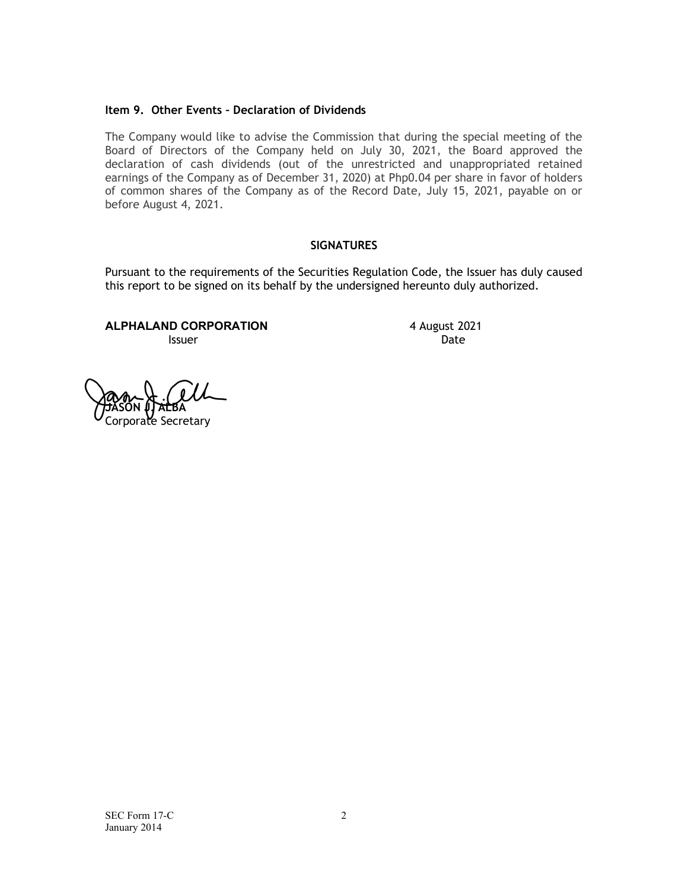#### Item 9. Other Events – Declaration of Dividends

The Company would like to advise the Commission that during the special meeting of the Board of Directors of the Company held on July 30, 2021, the Board approved the declaration of cash dividends (out of the unrestricted and unappropriated retained earnings of the Company as of December 31, 2020) at Php0.04 per share in favor of holders of common shares of the Company as of the Record Date, July 15, 2021, payable on or before August 4, 2021.

# **SIGNATURES**

Pursuant to the requirements of the Securities Regulation Code, the Issuer has duly caused this report to be signed on its behalf by the undersigned hereunto duly authorized.

ALPHALAND CORPORATION 4 August 2021 **Issuer** Date **Date** 

**JASON (LALBA** porate Secretary